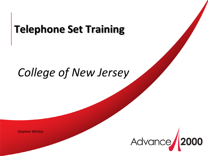# **Telephone Set Training**

# *College of New Jersey*

*Stephen Winley*

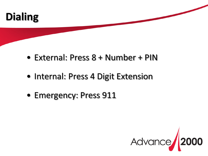

- External: Press 8 + Number + PIN
- Internal: Press 4 Digit Extension
- Emergency: Press 911

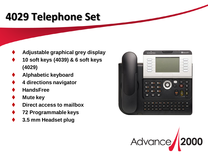# **4029 Telephone Set**

- **Adjustable graphical grey display**
- **10 soft keys (4039) & 6 soft keys (4029)**
- **Alphabetic keyboard**
- **4 directions navigator**
- **HandsFree**
- **Mute key**
- **Direct access to mailbox**
- **72 Programmable keys**
- **3.5 mm Headset plug**



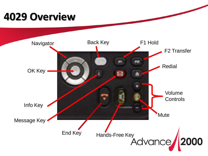# **4029 Overview**

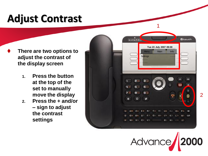# **Adjust Contrast**

- **There are two options to adjust the contrast of the display screen**
	- **1. Press the button at the top of the set to manually move the display**
	- **2. Press the + and/or – sign to adjust the contrast settings**



1

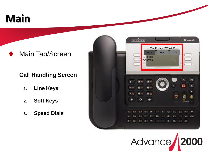# **Main**

### Main Tab/Screen

#### **Call Handling Screen**

- **1. Line Keys**
- **2. Soft Keys**
- **3. Speed Dials**



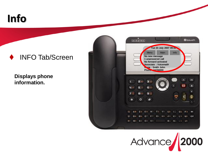

#### INFO Tab/Screen

**Displays phone information.** 



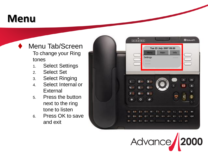## **Menu**

- Menu Tab/Screen To change your Ring tones
	- 1. Select Settings
	- 2. Select Set
	- 3. Select Ringing
	- 4. Select Internal or **External**
	- 5. Press the button next to the ring tone to listen
	- 6. Press OK to save and exit



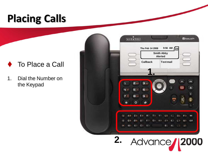# **Placing Calls**



1. Dial the Number on the Keypad



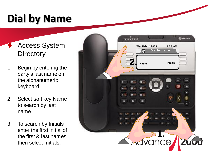# **Dial by Name**

### Access System **Directory**

- 1. Begin by entering the party's last name on the alphanumeric keyboard.
- 2. Select soft key Name to search by last name
- 3. To search by Initials enter the first initial of the first & last names then select Initials.

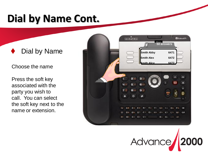## **Dial by Name Cont.**

### Dial by Name

Choose the name

Press the soft key associated with the party you wish to call. You can select the soft key next to the name or extension.



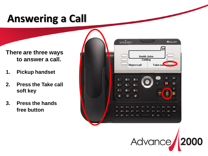# **Answering a Call**

**There are three ways to answer a call.**

- **1. Pickup handset**
- **2. Press the Take call soft key**
- **3. Press the hands free button**



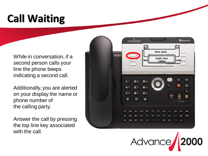# **Call Waiting**

While in conversation, if a second person calls your line the phone beeps indicating a second call.

Additionally, you are alerted on your display the name or phone number of the calling party.

Answer the call by pressing the top line key associated with the call.



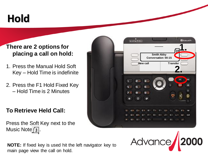# **Hold**

#### **There are 2 options for placing a call on hold:**

- 1. Press the Manual Hold Soft Key – Hold Time is indefinite
- 2. Press the F1 Hold Fixed Key – Hold Time is 2 Minutes

#### **To Retrieve Held Call:**

Press the Soft Key next to the Music Note  $\sqrt{s}$ .



**NOTE:** If fixed key is used hit the left navigator key to main page view the call on hold.

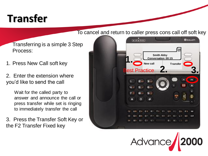# **Transfer**

#### To cancel and return to caller press cons call off soft key

Transferring is a simple 3 Step Process:

1. Press New Call soft key

2. Enter the extension where you'd like to send the call

> Wait for the called party to answer and announce the call or press transfer while set is ringing to immediately transfer the call

3. Press the Transfer Soft Key or the F2 Transfer Fixed key



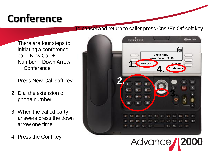# **Conference**

#### To cancel and return to caller press Cnsl/En Off soft key

There are four steps to initiating a conference call. New Call + Number + Down Arrow + Conference

- 1. Press New Call soft key
- 2. Dial the extension or phone number
- 3. When the called party answers press the down arrow one time
- 4. Press the Conf key

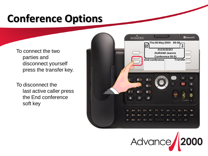# **Conference Options**

To connect the two parties and disconnect yourself press the transfer key.

To disconnect the last active caller press the End conference soft key



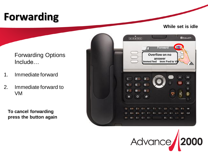# **Forwarding**

**While set is idle**

Forwarding Options Include…

- 1. Immediate forward
- 2. Immediate forward to VM

**To cancel forwarding press the button again**



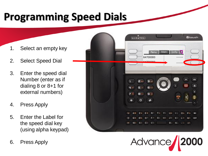## **Programming Speed Dials**

- 1. Select an empty key
- 2. Select Speed Dial
- 3. Enter the speed dial Number (enter as if dialing 8 or 8+1 for external numbers)
- 4. Press Apply
- 5. Enter the Label for the speed dial key (using alpha keypad)
- 6. Press Apply



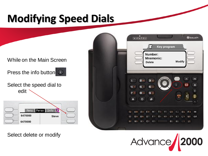# **Modifying Speed Dials**

#### While on the Main Screen

Press the info button  $\bigcirc$ 

Select the speed dial to edit



 $T = 10$ **BEDUCH Thu Feb 14 2008 14 2009 14 2009**  $\equiv$ **Number: Mnemonic: Delete Modify** me э  $6 9<sub>10</sub>$ 7日 Blin Ō  $O<sub>4</sub>$ -19 **B.**  $M<sub>1</sub>$ 



Select delete or modify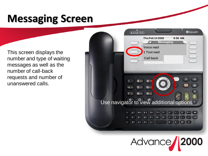## **Messaging Screen**

This screen displays the number and type of waiting messages as well as the number of call-back requests and number of unanswered calls.